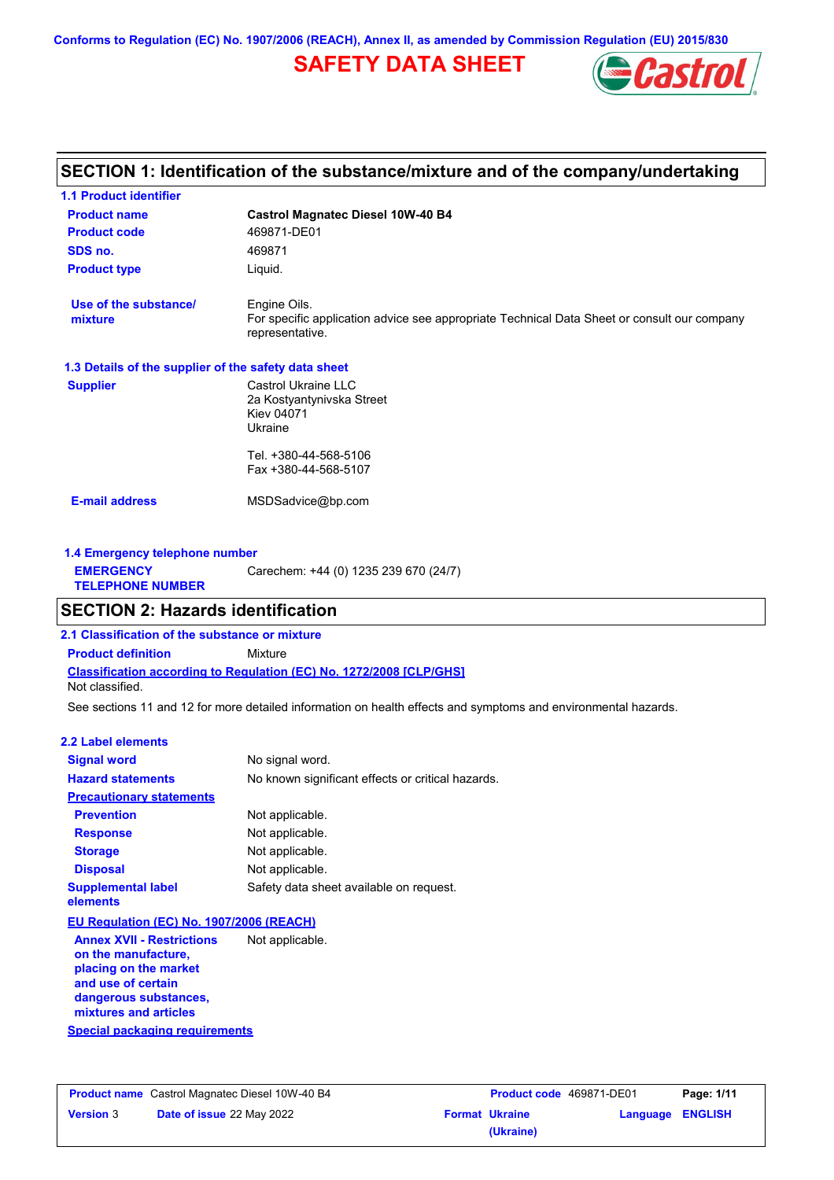# **SAFETY DATA SHEET**



# **Castrol Magnatec Diesel 10W-40 B4 Product name 1.1 Product identifier 1.3 Details of the supplier of the safety data sheet Product type Liquid. E-mail address** MSDSadvice@bp.com **SECTION 1: Identification of the substance/mixture and of the company/undertaking Product code 469871-DE01 1.4 Emergency telephone number EMERGENCY TELEPHONE NUMBER** Carechem: +44 (0) 1235 239 670 (24/7) **Supplier** Castrol Ukraine LLC 2a Kostyantynivska Street Kiev 04071 Ukraine Tel. +380-44-568-5106 Fax +380-44-568-5107 **SDS no.** 469871 **Use of the substance/ mixture** Engine Oils. For specific application advice see appropriate Technical Data Sheet or consult our company representative. **SECTION 2: Hazards identification 2.1 Classification of the substance or mixture**

**Classification according to Regulation (EC) No. 1272/2008 [CLP/GHS] Product definition** Mixture Not classified.

See sections 11 and 12 for more detailed information on health effects and symptoms and environmental hazards.

### **2.2 Label elements**

| <b>Signal word</b>                                                                                                                                       | No signal word.                                   |
|----------------------------------------------------------------------------------------------------------------------------------------------------------|---------------------------------------------------|
| <b>Hazard statements</b>                                                                                                                                 | No known significant effects or critical hazards. |
| <b>Precautionary statements</b>                                                                                                                          |                                                   |
| <b>Prevention</b>                                                                                                                                        | Not applicable.                                   |
| <b>Response</b>                                                                                                                                          | Not applicable.                                   |
| <b>Storage</b>                                                                                                                                           | Not applicable.                                   |
| <b>Disposal</b>                                                                                                                                          | Not applicable.                                   |
| <b>Supplemental label</b><br>elements                                                                                                                    | Safety data sheet available on request.           |
| EU Regulation (EC) No. 1907/2006 (REACH)                                                                                                                 |                                                   |
| <b>Annex XVII - Restrictions</b><br>on the manufacture.<br>placing on the market<br>and use of certain<br>dangerous substances,<br>mixtures and articles | Not applicable.                                   |

|                  | <b>Product name</b> Castrol Magnatec Diesel 10W-40 B4 |  |  |
|------------------|-------------------------------------------------------|--|--|
| <b>Version 3</b> | Date of issue 22 May 2022                             |  |  |

**Special packaging requirements**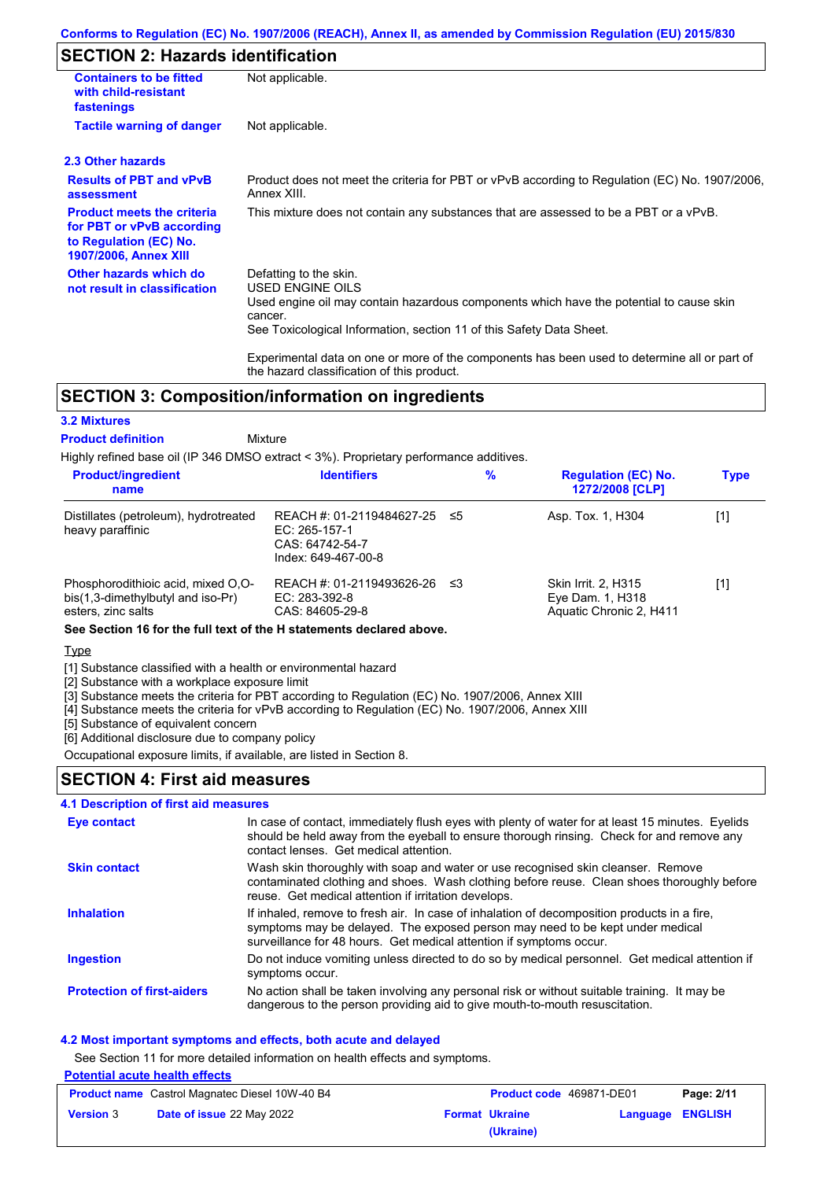# **SECTION 2: Hazards identification**

| <b>Containers to be fitted</b><br>with child-resistant<br>fastenings                                                     | Not applicable.                                                                                                                                                                                                          |
|--------------------------------------------------------------------------------------------------------------------------|--------------------------------------------------------------------------------------------------------------------------------------------------------------------------------------------------------------------------|
| <b>Tactile warning of danger</b>                                                                                         | Not applicable.                                                                                                                                                                                                          |
| 2.3 Other hazards                                                                                                        |                                                                                                                                                                                                                          |
| <b>Results of PBT and vPvB</b><br>assessment                                                                             | Product does not meet the criteria for PBT or vPvB according to Regulation (EC) No. 1907/2006,<br>Annex XIII.                                                                                                            |
| <b>Product meets the criteria</b><br>for PBT or vPvB according<br>to Regulation (EC) No.<br><b>1907/2006, Annex XIII</b> | This mixture does not contain any substances that are assessed to be a PBT or a vPvB.                                                                                                                                    |
| Other hazards which do<br>not result in classification                                                                   | Defatting to the skin.<br>USED ENGINE OILS<br>Used engine oil may contain hazardous components which have the potential to cause skin<br>cancer.<br>See Toxicological Information, section 11 of this Safety Data Sheet. |
|                                                                                                                          | Experimental data on one or more of the components has been used to determine all or part of                                                                                                                             |

# **SECTION 3: Composition/information on ingredients**

## **3.2 Mixtures**

Mixture **Product definition**

Highly refined base oil (IP 346 DMSO extract < 3%). Proprietary performance additives.

the hazard classification of this product.

| name                                                                                          |                                                                                         | $\%$ | <b>Regulation (EC) No.</b><br>1272/2008 [CLP]                      | <b>Type</b> |
|-----------------------------------------------------------------------------------------------|-----------------------------------------------------------------------------------------|------|--------------------------------------------------------------------|-------------|
| Distillates (petroleum), hydrotreated<br>heavy paraffinic                                     | REACH #: 01-2119484627-25 ≤5<br>EC: 265-157-1<br>CAS: 64742-54-7<br>Index: 649-467-00-8 |      | Asp. Tox. 1, H304                                                  | [1]         |
| Phosphorodithioic acid, mixed O.O-<br>bis(1,3-dimethylbutyl and iso-Pr)<br>esters, zinc salts | REACH #: 01-2119493626-26 ≤3<br>EC: 283-392-8<br>CAS: 84605-29-8                        |      | Skin Irrit. 2, H315<br>Eye Dam. 1, H318<br>Aquatic Chronic 2, H411 | [1]         |

**See Section 16 for the full text of the H statements declared above.**

**Type** 

[1] Substance classified with a health or environmental hazard

[2] Substance with a workplace exposure limit

[3] Substance meets the criteria for PBT according to Regulation (EC) No. 1907/2006, Annex XIII

[4] Substance meets the criteria for vPvB according to Regulation (EC) No. 1907/2006, Annex XIII

[5] Substance of equivalent concern

[6] Additional disclosure due to company policy Occupational exposure limits, if available, are listed in Section 8.

# **SECTION 4: First aid measures**

## **4.1 Description of first aid measures**

| Eye contact                       | In case of contact, immediately flush eyes with plenty of water for at least 15 minutes. Eyelids<br>should be held away from the eyeball to ensure thorough rinsing. Check for and remove any<br>contact lenses. Get medical attention.             |
|-----------------------------------|-----------------------------------------------------------------------------------------------------------------------------------------------------------------------------------------------------------------------------------------------------|
| <b>Skin contact</b>               | Wash skin thoroughly with soap and water or use recognised skin cleanser. Remove<br>contaminated clothing and shoes. Wash clothing before reuse. Clean shoes thoroughly before<br>reuse. Get medical attention if irritation develops.              |
| <b>Inhalation</b>                 | If inhaled, remove to fresh air. In case of inhalation of decomposition products in a fire,<br>symptoms may be delayed. The exposed person may need to be kept under medical<br>surveillance for 48 hours. Get medical attention if symptoms occur. |
| <b>Ingestion</b>                  | Do not induce vomiting unless directed to do so by medical personnel. Get medical attention if<br>symptoms occur.                                                                                                                                   |
| <b>Protection of first-aiders</b> | No action shall be taken involving any personal risk or without suitable training. It may be<br>dangerous to the person providing aid to give mouth-to-mouth resuscitation.                                                                         |

## **4.2 Most important symptoms and effects, both acute and delayed**

See Section 11 for more detailed information on health effects and symptoms.

## **Potential acute health effects**

| <b>Product name</b> Castrol Magnatec Diesel 10W-40 B4 |                           | <b>Product code</b> 469871-DE01 |                       | Page: 2/11              |  |
|-------------------------------------------------------|---------------------------|---------------------------------|-----------------------|-------------------------|--|
| <b>Version 3</b>                                      | Date of issue 22 May 2022 |                                 | <b>Format Ukraine</b> | <b>Language ENGLISH</b> |  |
|                                                       |                           |                                 | (Ukraine)             |                         |  |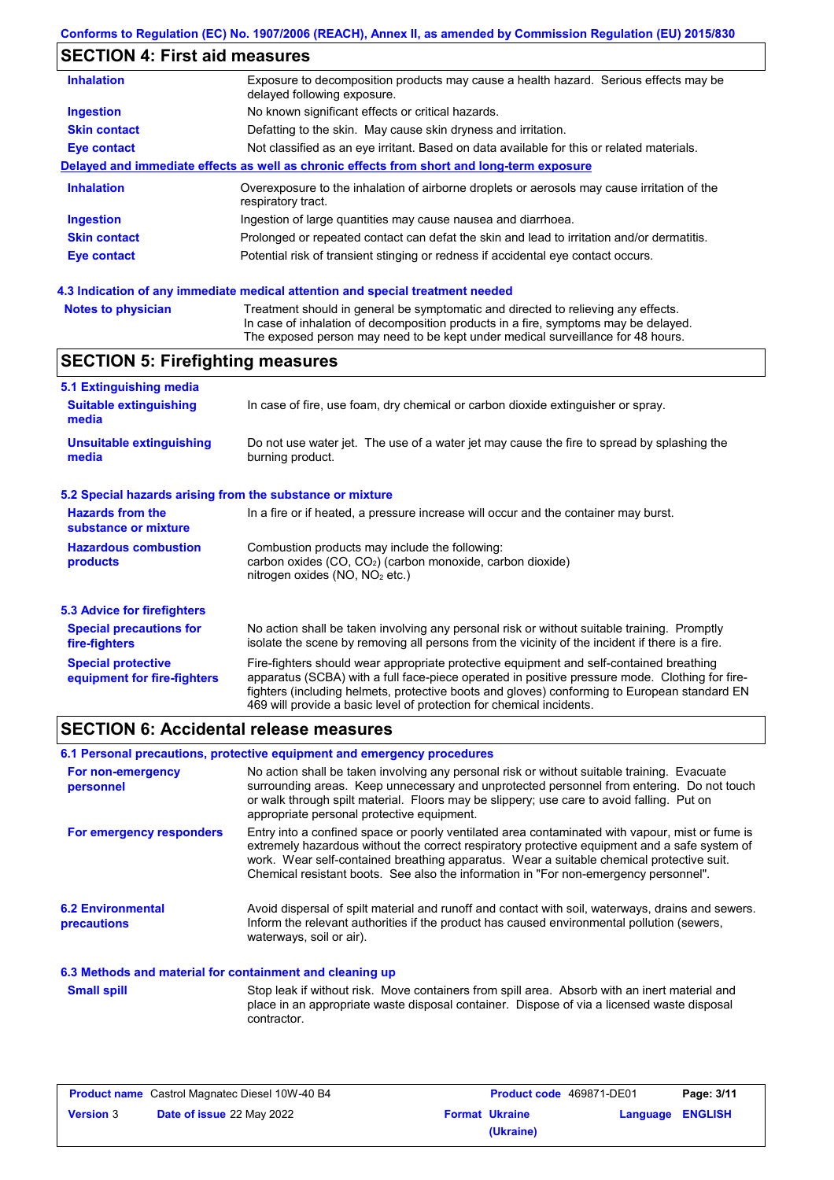# **SECTION 4: First aid measures**

| <b>Inhalation</b>   | Exposure to decomposition products may cause a health hazard. Serious effects may be<br>delayed following exposure. |
|---------------------|---------------------------------------------------------------------------------------------------------------------|
| <b>Ingestion</b>    | No known significant effects or critical hazards.                                                                   |
| <b>Skin contact</b> | Defatting to the skin. May cause skin dryness and irritation.                                                       |
| Eye contact         | Not classified as an eye irritant. Based on data available for this or related materials.                           |
|                     | Delayed and immediate effects as well as chronic effects from short and long-term exposure                          |
| <b>Inhalation</b>   | Overexposure to the inhalation of airborne droplets or aerosols may cause irritation of the<br>respiratory tract.   |
| <b>Ingestion</b>    | Ingestion of large quantities may cause nausea and diarrhoea.                                                       |
| <b>Skin contact</b> | Prolonged or repeated contact can defat the skin and lead to irritation and/or dermatitis.                          |
| Eye contact         | Potential risk of transient stinging or redness if accidental eye contact occurs.                                   |
|                     |                                                                                                                     |

# **4.3 Indication of any immediate medical attention and special treatment needed**

| <b>Notes to physician</b> | Treatment should in general be symptomatic and directed to relieving any effects.   |
|---------------------------|-------------------------------------------------------------------------------------|
|                           | In case of inhalation of decomposition products in a fire, symptoms may be delayed. |
|                           | The exposed person may need to be kept under medical surveillance for 48 hours.     |

# **SECTION 5: Firefighting measures**

| 5.1 Extinguishing media                                                                                                    |                                                                                                                                                                                                                                                                                                                                                                   |  |  |
|----------------------------------------------------------------------------------------------------------------------------|-------------------------------------------------------------------------------------------------------------------------------------------------------------------------------------------------------------------------------------------------------------------------------------------------------------------------------------------------------------------|--|--|
| <b>Suitable extinguishing</b><br>In case of fire, use foam, dry chemical or carbon dioxide extinguisher or spray.<br>media |                                                                                                                                                                                                                                                                                                                                                                   |  |  |
| Unsuitable extinguishing<br>media                                                                                          | Do not use water jet. The use of a water jet may cause the fire to spread by splashing the<br>burning product.                                                                                                                                                                                                                                                    |  |  |
| 5.2 Special hazards arising from the substance or mixture                                                                  |                                                                                                                                                                                                                                                                                                                                                                   |  |  |
| <b>Hazards from the</b><br>substance or mixture                                                                            | In a fire or if heated, a pressure increase will occur and the container may burst.                                                                                                                                                                                                                                                                               |  |  |
| <b>Hazardous combustion</b><br>products                                                                                    | Combustion products may include the following:<br>carbon oxides $(CO, CO2)$ (carbon monoxide, carbon dioxide)<br>nitrogen oxides (NO, NO <sub>2</sub> etc.)                                                                                                                                                                                                       |  |  |
| 5.3 Advice for firefighters                                                                                                |                                                                                                                                                                                                                                                                                                                                                                   |  |  |
| <b>Special precautions for</b><br>fire-fighters                                                                            | No action shall be taken involving any personal risk or without suitable training. Promptly<br>isolate the scene by removing all persons from the vicinity of the incident if there is a fire.                                                                                                                                                                    |  |  |
| <b>Special protective</b><br>equipment for fire-fighters                                                                   | Fire-fighters should wear appropriate protective equipment and self-contained breathing<br>apparatus (SCBA) with a full face-piece operated in positive pressure mode. Clothing for fire-<br>fighters (including helmets, protective boots and gloves) conforming to European standard EN<br>469 will provide a basic level of protection for chemical incidents. |  |  |

# **SECTION 6: Accidental release measures**

|                                                          | 6.1 Personal precautions, protective equipment and emergency procedures                                                                                                                                                                                                                                                                                                              |
|----------------------------------------------------------|--------------------------------------------------------------------------------------------------------------------------------------------------------------------------------------------------------------------------------------------------------------------------------------------------------------------------------------------------------------------------------------|
| For non-emergency<br>personnel                           | No action shall be taken involving any personal risk or without suitable training. Evacuate<br>surrounding areas. Keep unnecessary and unprotected personnel from entering. Do not touch<br>or walk through spilt material. Floors may be slippery; use care to avoid falling. Put on<br>appropriate personal protective equipment.                                                  |
| For emergency responders                                 | Entry into a confined space or poorly ventilated area contaminated with vapour, mist or fume is<br>extremely hazardous without the correct respiratory protective equipment and a safe system of<br>work. Wear self-contained breathing apparatus. Wear a suitable chemical protective suit.<br>Chemical resistant boots. See also the information in "For non-emergency personnel". |
| <b>6.2 Environmental</b><br>precautions                  | Avoid dispersal of spilt material and runoff and contact with soil, waterways, drains and sewers.<br>Inform the relevant authorities if the product has caused environmental pollution (sewers,<br>waterways, soil or air).                                                                                                                                                          |
| 6.3 Methods and material for containment and cleaning up |                                                                                                                                                                                                                                                                                                                                                                                      |
| <b>Small spill</b>                                       | Stop leak if without risk. Move containers from spill area. Absorb with an inert material and<br>place in an appropriate waste disposal container. Dispose of via a licensed waste disposal<br>contractor.                                                                                                                                                                           |

| <b>Product name</b> Castrol Magnatec Diesel 10W-40 B4 |                                  | <b>Product code</b> 469871-DE01 |                       | Page: 3/11              |  |
|-------------------------------------------------------|----------------------------------|---------------------------------|-----------------------|-------------------------|--|
| <b>Version 3</b>                                      | <b>Date of issue 22 May 2022</b> |                                 | <b>Format Ukraine</b> | <b>Language ENGLISH</b> |  |
|                                                       |                                  |                                 | (Ukraine)             |                         |  |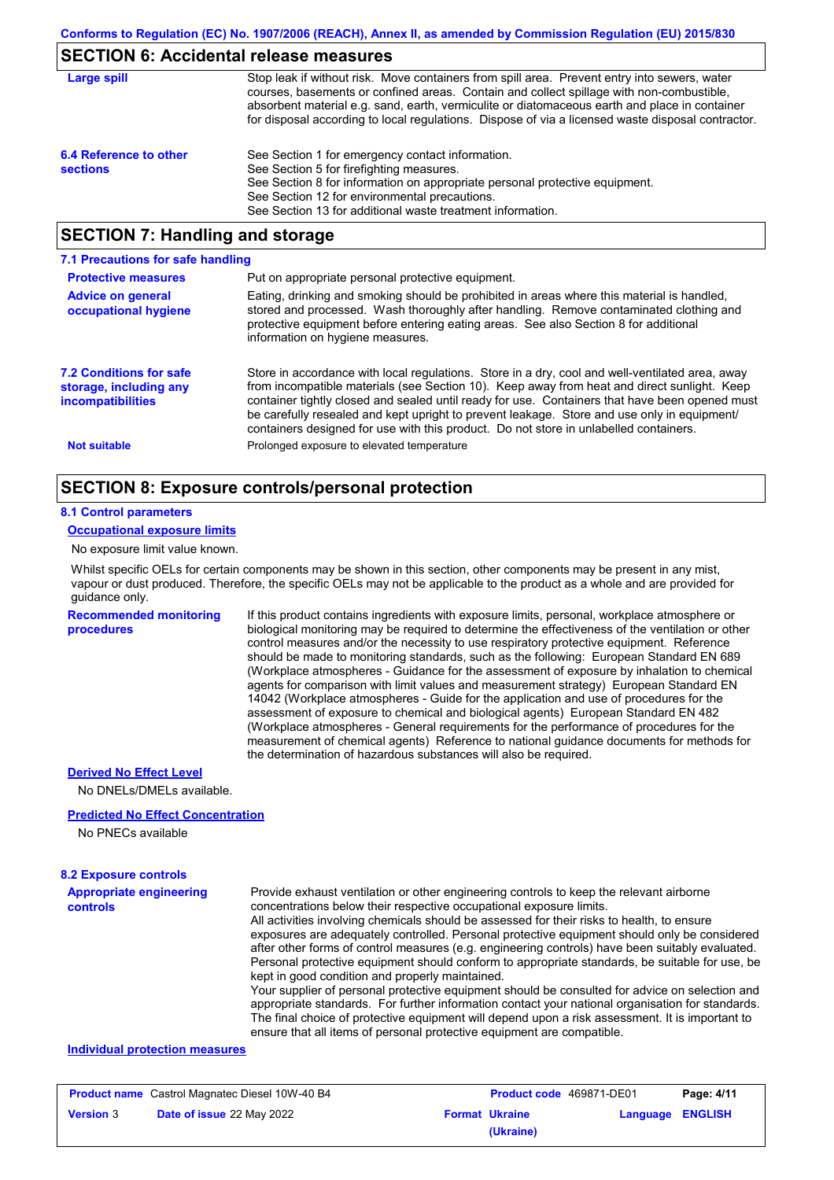# **SECTION 6: Accidental release measures**

| Large spill                               | Stop leak if without risk. Move containers from spill area. Prevent entry into sewers, water<br>courses, basements or confined areas. Contain and collect spillage with non-combustible,<br>absorbent material e.g. sand, earth, vermiculite or diatomaceous earth and place in container<br>for disposal according to local regulations. Dispose of via a licensed waste disposal contractor. |
|-------------------------------------------|------------------------------------------------------------------------------------------------------------------------------------------------------------------------------------------------------------------------------------------------------------------------------------------------------------------------------------------------------------------------------------------------|
| 6.4 Reference to other<br><b>sections</b> | See Section 1 for emergency contact information.<br>See Section 5 for firefighting measures.<br>See Section 8 for information on appropriate personal protective equipment.<br>See Section 12 for environmental precautions.<br>See Section 13 for additional waste treatment information.                                                                                                     |

# **SECTION 7: Handling and storage**

| 7.1 Precautions for safe handling                                                    |                                                                                                                                                                                                                                                                                                                                                                                                                                                                                          |
|--------------------------------------------------------------------------------------|------------------------------------------------------------------------------------------------------------------------------------------------------------------------------------------------------------------------------------------------------------------------------------------------------------------------------------------------------------------------------------------------------------------------------------------------------------------------------------------|
| <b>Protective measures</b>                                                           | Put on appropriate personal protective equipment.                                                                                                                                                                                                                                                                                                                                                                                                                                        |
| <b>Advice on general</b><br>occupational hygiene                                     | Eating, drinking and smoking should be prohibited in areas where this material is handled,<br>stored and processed. Wash thoroughly after handling. Remove contaminated clothing and<br>protective equipment before entering eating areas. See also Section 8 for additional<br>information on hygiene measures.                                                                                                                                                                         |
| <b>7.2 Conditions for safe</b><br>storage, including any<br><i>incompatibilities</i> | Store in accordance with local regulations. Store in a dry, cool and well-ventilated area, away<br>from incompatible materials (see Section 10). Keep away from heat and direct sunlight. Keep<br>container tightly closed and sealed until ready for use. Containers that have been opened must<br>be carefully resealed and kept upright to prevent leakage. Store and use only in equipment/<br>containers designed for use with this product. Do not store in unlabelled containers. |
| <b>Not suitable</b>                                                                  | Prolonged exposure to elevated temperature                                                                                                                                                                                                                                                                                                                                                                                                                                               |

# **SECTION 8: Exposure controls/personal protection**

### **8.1 Control parameters**

#### **Occupational exposure limits**

No exposure limit value known.

Whilst specific OELs for certain components may be shown in this section, other components may be present in any mist, vapour or dust produced. Therefore, the specific OELs may not be applicable to the product as a whole and are provided for guidance only.

#### **Recommended monitoring procedures**

If this product contains ingredients with exposure limits, personal, workplace atmosphere or biological monitoring may be required to determine the effectiveness of the ventilation or other control measures and/or the necessity to use respiratory protective equipment. Reference should be made to monitoring standards, such as the following: European Standard EN 689 (Workplace atmospheres - Guidance for the assessment of exposure by inhalation to chemical agents for comparison with limit values and measurement strategy) European Standard EN 14042 (Workplace atmospheres - Guide for the application and use of procedures for the assessment of exposure to chemical and biological agents) European Standard EN 482 (Workplace atmospheres - General requirements for the performance of procedures for the measurement of chemical agents) Reference to national guidance documents for methods for the determination of hazardous substances will also be required.

### **Derived No Effect Level**

No DNELs/DMELs available.

### **Predicted No Effect Concentration**

No PNECs available

## **8.2 Exposure controls**

| <b>Appropriate engineering</b> | Provide exhaust ventilation or other engineering controls to keep the relevant airborne                                                                                                            |
|--------------------------------|----------------------------------------------------------------------------------------------------------------------------------------------------------------------------------------------------|
| <b>controls</b>                | concentrations below their respective occupational exposure limits.                                                                                                                                |
|                                | All activities involving chemicals should be assessed for their risks to health, to ensure                                                                                                         |
|                                | exposures are adequately controlled. Personal protective equipment should only be considered                                                                                                       |
|                                | after other forms of control measures (e.g. engineering controls) have been suitably evaluated.                                                                                                    |
|                                | Personal protective equipment should conform to appropriate standards, be suitable for use, be                                                                                                     |
|                                | kept in good condition and properly maintained.                                                                                                                                                    |
|                                | Your supplier of personal protective equipment should be consulted for advice on selection and<br>appropriate standards. For further information contact your national organisation for standards. |
|                                | The final choice of protective equipment will depend upon a risk assessment. It is important to                                                                                                    |

ensure that all items of personal protective equipment are compatible.

## **Individual protection measures**

| <b>Product name</b> Castrol Magnatec Diesel 10W-40 B4 |                                  | <b>Product code</b> 469871-DE01 |                       | Page: 4/11       |  |
|-------------------------------------------------------|----------------------------------|---------------------------------|-----------------------|------------------|--|
| <b>Version 3</b>                                      | <b>Date of issue 22 May 2022</b> |                                 | <b>Format Ukraine</b> | Language ENGLISH |  |
|                                                       |                                  |                                 | (Ukraine)             |                  |  |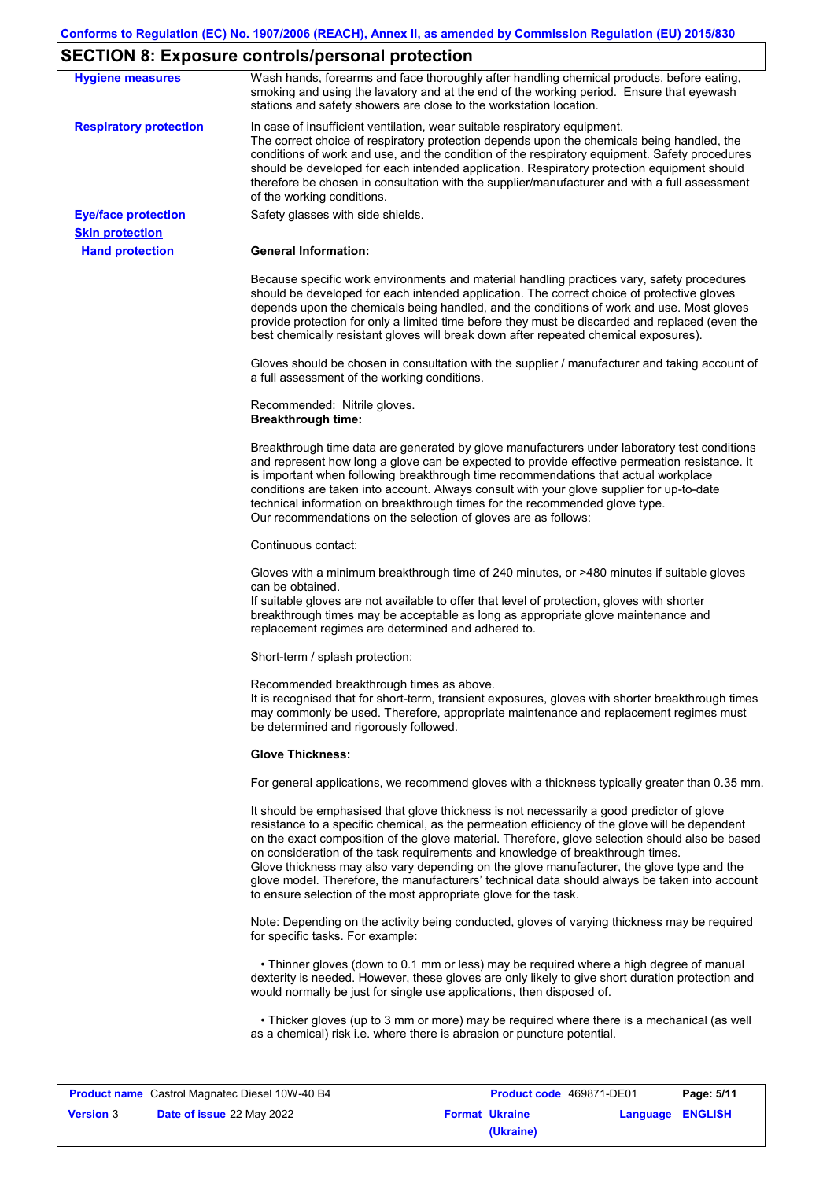# **SECTION 8: Exposure controls/personal protection**

|                               | <b>Expediate controller personal protoction</b>                                                                                                                                                                                                                                                                                                                                                                                                                                                                                                                                                                                                   |
|-------------------------------|---------------------------------------------------------------------------------------------------------------------------------------------------------------------------------------------------------------------------------------------------------------------------------------------------------------------------------------------------------------------------------------------------------------------------------------------------------------------------------------------------------------------------------------------------------------------------------------------------------------------------------------------------|
| <b>Hygiene measures</b>       | Wash hands, forearms and face thoroughly after handling chemical products, before eating,<br>smoking and using the lavatory and at the end of the working period. Ensure that eyewash<br>stations and safety showers are close to the workstation location.                                                                                                                                                                                                                                                                                                                                                                                       |
| <b>Respiratory protection</b> | In case of insufficient ventilation, wear suitable respiratory equipment.<br>The correct choice of respiratory protection depends upon the chemicals being handled, the<br>conditions of work and use, and the condition of the respiratory equipment. Safety procedures<br>should be developed for each intended application. Respiratory protection equipment should<br>therefore be chosen in consultation with the supplier/manufacturer and with a full assessment<br>of the working conditions.                                                                                                                                             |
| <b>Eye/face protection</b>    | Safety glasses with side shields.                                                                                                                                                                                                                                                                                                                                                                                                                                                                                                                                                                                                                 |
| <b>Skin protection</b>        |                                                                                                                                                                                                                                                                                                                                                                                                                                                                                                                                                                                                                                                   |
| <b>Hand protection</b>        | <b>General Information:</b>                                                                                                                                                                                                                                                                                                                                                                                                                                                                                                                                                                                                                       |
|                               | Because specific work environments and material handling practices vary, safety procedures<br>should be developed for each intended application. The correct choice of protective gloves<br>depends upon the chemicals being handled, and the conditions of work and use. Most gloves<br>provide protection for only a limited time before they must be discarded and replaced (even the<br>best chemically resistant gloves will break down after repeated chemical exposures).                                                                                                                                                                  |
|                               | Gloves should be chosen in consultation with the supplier / manufacturer and taking account of<br>a full assessment of the working conditions.                                                                                                                                                                                                                                                                                                                                                                                                                                                                                                    |
|                               | Recommended: Nitrile gloves.<br><b>Breakthrough time:</b>                                                                                                                                                                                                                                                                                                                                                                                                                                                                                                                                                                                         |
|                               | Breakthrough time data are generated by glove manufacturers under laboratory test conditions<br>and represent how long a glove can be expected to provide effective permeation resistance. It<br>is important when following breakthrough time recommendations that actual workplace<br>conditions are taken into account. Always consult with your glove supplier for up-to-date<br>technical information on breakthrough times for the recommended glove type.<br>Our recommendations on the selection of gloves are as follows:                                                                                                                |
|                               | Continuous contact:                                                                                                                                                                                                                                                                                                                                                                                                                                                                                                                                                                                                                               |
|                               | Gloves with a minimum breakthrough time of 240 minutes, or >480 minutes if suitable gloves<br>can be obtained.<br>If suitable gloves are not available to offer that level of protection, gloves with shorter<br>breakthrough times may be acceptable as long as appropriate glove maintenance and<br>replacement regimes are determined and adhered to.                                                                                                                                                                                                                                                                                          |
|                               | Short-term / splash protection:                                                                                                                                                                                                                                                                                                                                                                                                                                                                                                                                                                                                                   |
|                               | Recommended breakthrough times as above.<br>It is recognised that for short-term, transient exposures, gloves with shorter breakthrough times<br>may commonly be used. Therefore, appropriate maintenance and replacement regimes must<br>be determined and rigorously followed.                                                                                                                                                                                                                                                                                                                                                                  |
|                               | <b>Glove Thickness:</b>                                                                                                                                                                                                                                                                                                                                                                                                                                                                                                                                                                                                                           |
|                               | For general applications, we recommend gloves with a thickness typically greater than 0.35 mm.                                                                                                                                                                                                                                                                                                                                                                                                                                                                                                                                                    |
|                               | It should be emphasised that glove thickness is not necessarily a good predictor of glove<br>resistance to a specific chemical, as the permeation efficiency of the glove will be dependent<br>on the exact composition of the glove material. Therefore, glove selection should also be based<br>on consideration of the task requirements and knowledge of breakthrough times.<br>Glove thickness may also vary depending on the glove manufacturer, the glove type and the<br>glove model. Therefore, the manufacturers' technical data should always be taken into account<br>to ensure selection of the most appropriate glove for the task. |
|                               | Note: Depending on the activity being conducted, gloves of varying thickness may be required<br>for specific tasks. For example:                                                                                                                                                                                                                                                                                                                                                                                                                                                                                                                  |
|                               | • Thinner gloves (down to 0.1 mm or less) may be required where a high degree of manual<br>dexterity is needed. However, these gloves are only likely to give short duration protection and<br>would normally be just for single use applications, then disposed of.                                                                                                                                                                                                                                                                                                                                                                              |
|                               | • Thicker gloves (up to 3 mm or more) may be required where there is a mechanical (as well<br>as a chemical) risk i.e. where there is abrasion or puncture potential.                                                                                                                                                                                                                                                                                                                                                                                                                                                                             |

|                  | <b>Product name</b> Castrol Magnatec Diesel 10W-40 B4 | Product code 469871-DE01 |                  | Page: 5/11 |
|------------------|-------------------------------------------------------|--------------------------|------------------|------------|
| <b>Version 3</b> | <b>Date of issue 22 May 2022</b>                      | <b>Format Ukraine</b>    | Language ENGLISH |            |
|                  |                                                       | (Ukraine)                |                  |            |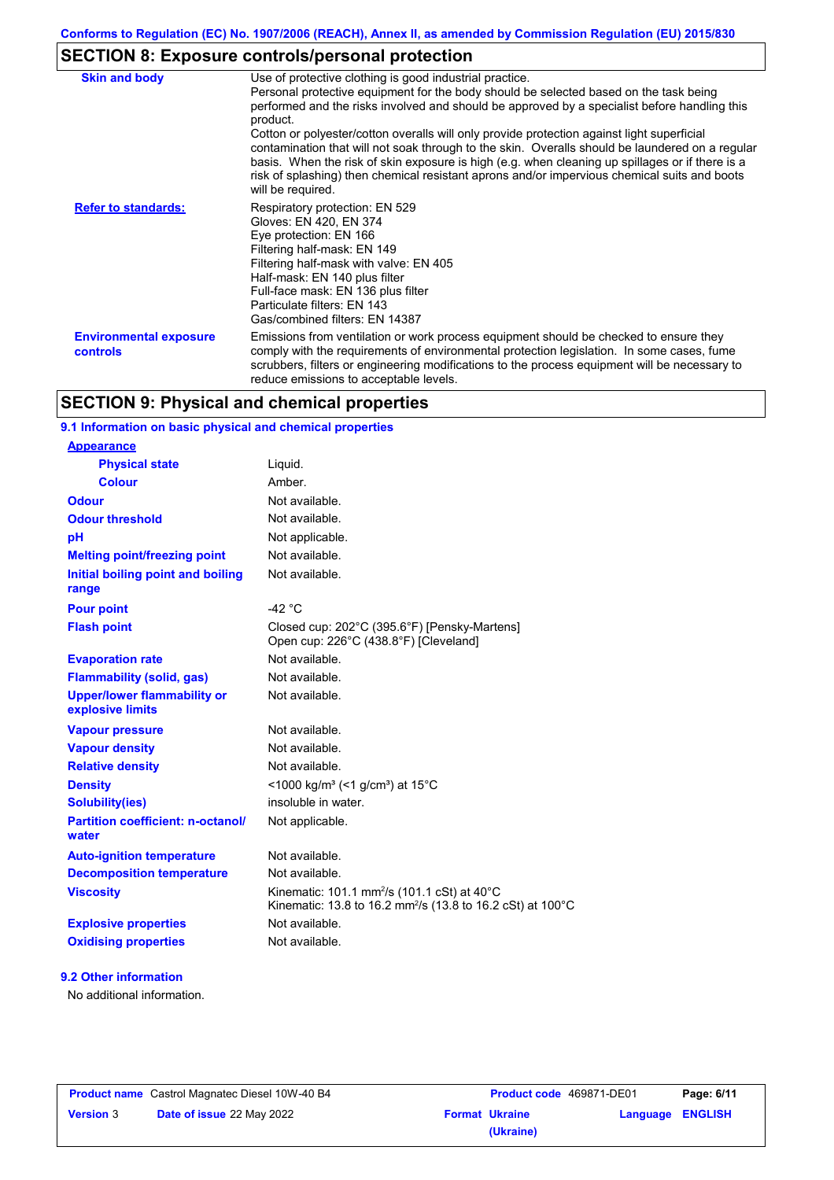# **SECTION 8: Exposure controls/personal protection**

| <b>Skin and body</b>                             | Use of protective clothing is good industrial practice.<br>Personal protective equipment for the body should be selected based on the task being<br>performed and the risks involved and should be approved by a specialist before handling this<br>product.<br>Cotton or polyester/cotton overalls will only provide protection against light superficial<br>contamination that will not soak through to the skin. Overalls should be laundered on a regular<br>basis. When the risk of skin exposure is high (e.g. when cleaning up spillages or if there is a<br>risk of splashing) then chemical resistant aprons and/or impervious chemical suits and boots<br>will be required. |
|--------------------------------------------------|---------------------------------------------------------------------------------------------------------------------------------------------------------------------------------------------------------------------------------------------------------------------------------------------------------------------------------------------------------------------------------------------------------------------------------------------------------------------------------------------------------------------------------------------------------------------------------------------------------------------------------------------------------------------------------------|
| <b>Refer to standards:</b>                       | Respiratory protection: EN 529<br>Gloves: EN 420, EN 374<br>Eye protection: EN 166<br>Filtering half-mask: EN 149<br>Filtering half-mask with valve: EN 405<br>Half-mask: EN 140 plus filter<br>Full-face mask: EN 136 plus filter<br>Particulate filters: EN 143<br>Gas/combined filters: EN 14387                                                                                                                                                                                                                                                                                                                                                                                   |
| <b>Environmental exposure</b><br><b>controls</b> | Emissions from ventilation or work process equipment should be checked to ensure they<br>comply with the requirements of environmental protection legislation. In some cases, fume<br>scrubbers, filters or engineering modifications to the process equipment will be necessary to<br>reduce emissions to acceptable levels.                                                                                                                                                                                                                                                                                                                                                         |

# **SECTION 9: Physical and chemical properties**

## **9.1 Information on basic physical and chemical properties**

| <b>Appearance</b>                                      |                                                                                                                                              |
|--------------------------------------------------------|----------------------------------------------------------------------------------------------------------------------------------------------|
| <b>Physical state</b>                                  | Liquid.                                                                                                                                      |
| <b>Colour</b>                                          | Amber.                                                                                                                                       |
| <b>Odour</b>                                           | Not available.                                                                                                                               |
| <b>Odour threshold</b>                                 | Not available.                                                                                                                               |
| рH                                                     | Not applicable.                                                                                                                              |
| <b>Melting point/freezing point</b>                    | Not available.                                                                                                                               |
| Initial boiling point and boiling<br>range             | Not available.                                                                                                                               |
| <b>Pour point</b>                                      | -42 $^{\circ}$ C                                                                                                                             |
| <b>Flash point</b>                                     | Closed cup: 202°C (395.6°F) [Pensky-Martens]<br>Open cup: 226°C (438.8°F) [Cleveland]                                                        |
| <b>Evaporation rate</b>                                | Not available.                                                                                                                               |
| <b>Flammability (solid, gas)</b>                       | Not available.                                                                                                                               |
| <b>Upper/lower flammability or</b><br>explosive limits | Not available.                                                                                                                               |
| <b>Vapour pressure</b>                                 | Not available.                                                                                                                               |
| <b>Vapour density</b>                                  | Not available.                                                                                                                               |
| <b>Relative density</b>                                | Not available.                                                                                                                               |
| <b>Density</b>                                         | <1000 kg/m <sup>3</sup> (<1 g/cm <sup>3</sup> ) at 15 <sup>°</sup> C                                                                         |
| <b>Solubility(ies)</b>                                 | insoluble in water.                                                                                                                          |
| <b>Partition coefficient: n-octanol/</b><br>water      | Not applicable.                                                                                                                              |
| <b>Auto-ignition temperature</b>                       | Not available.                                                                                                                               |
| <b>Decomposition temperature</b>                       | Not available.                                                                                                                               |
| <b>Viscosity</b>                                       | Kinematic: 101.1 mm <sup>2</sup> /s (101.1 cSt) at 40 $^{\circ}$ C<br>Kinematic: 13.8 to 16.2 mm <sup>2</sup> /s (13.8 to 16.2 cSt) at 100°C |
| <b>Explosive properties</b>                            | Not available.                                                                                                                               |
| <b>Oxidising properties</b>                            | Not available.                                                                                                                               |
|                                                        |                                                                                                                                              |

# **9.2 Other information**

**Appearance**

No additional information.

|                  | <b>Product name</b> Castrol Magnatec Diesel 10W-40 B4 |
|------------------|-------------------------------------------------------|
| <b>Version 3</b> | Date of issue 22 May 2022                             |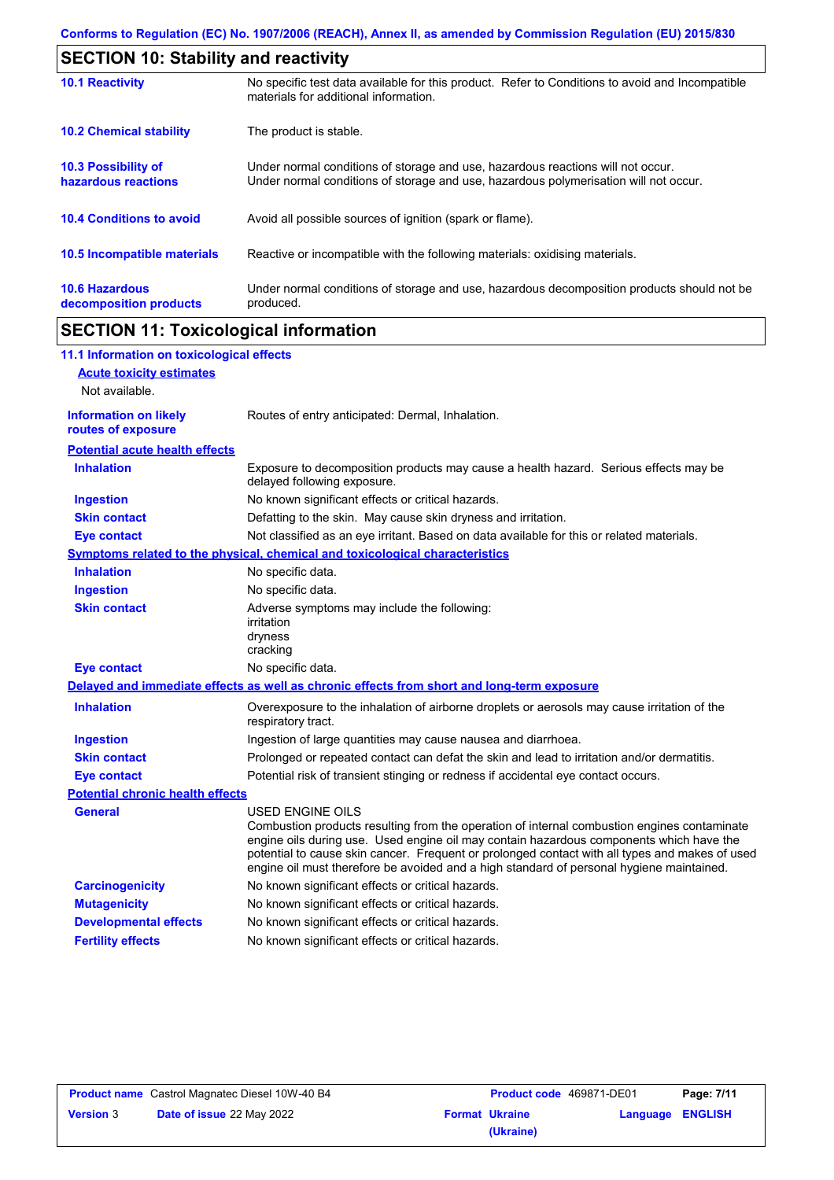| <b>SECTION 10: Stability and reactivity</b>       |                                                                                                                                                                         |  |
|---------------------------------------------------|-------------------------------------------------------------------------------------------------------------------------------------------------------------------------|--|
| <b>10.1 Reactivity</b>                            | No specific test data available for this product. Refer to Conditions to avoid and Incompatible<br>materials for additional information.                                |  |
| <b>10.2 Chemical stability</b>                    | The product is stable.                                                                                                                                                  |  |
| <b>10.3 Possibility of</b><br>hazardous reactions | Under normal conditions of storage and use, hazardous reactions will not occur.<br>Under normal conditions of storage and use, hazardous polymerisation will not occur. |  |
| <b>10.4 Conditions to avoid</b>                   | Avoid all possible sources of ignition (spark or flame).                                                                                                                |  |
| 10.5 Incompatible materials                       | Reactive or incompatible with the following materials: oxidising materials.                                                                                             |  |
| <b>10.6 Hazardous</b><br>decomposition products   | Under normal conditions of storage and use, hazardous decomposition products should not be<br>produced.                                                                 |  |

# **SECTION 11: Toxicological information**

 $\mathbf I$ 

| 11.1 Information on toxicological effects          |                                                                                                                                                                                                                                                                                                                                                                                                                 |
|----------------------------------------------------|-----------------------------------------------------------------------------------------------------------------------------------------------------------------------------------------------------------------------------------------------------------------------------------------------------------------------------------------------------------------------------------------------------------------|
| <b>Acute toxicity estimates</b>                    |                                                                                                                                                                                                                                                                                                                                                                                                                 |
| Not available.                                     |                                                                                                                                                                                                                                                                                                                                                                                                                 |
| <b>Information on likely</b><br>routes of exposure | Routes of entry anticipated: Dermal, Inhalation.                                                                                                                                                                                                                                                                                                                                                                |
| <b>Potential acute health effects</b>              |                                                                                                                                                                                                                                                                                                                                                                                                                 |
| <b>Inhalation</b>                                  | Exposure to decomposition products may cause a health hazard. Serious effects may be<br>delayed following exposure.                                                                                                                                                                                                                                                                                             |
| <b>Ingestion</b>                                   | No known significant effects or critical hazards.                                                                                                                                                                                                                                                                                                                                                               |
| <b>Skin contact</b>                                | Defatting to the skin. May cause skin dryness and irritation.                                                                                                                                                                                                                                                                                                                                                   |
| <b>Eye contact</b>                                 | Not classified as an eye irritant. Based on data available for this or related materials.                                                                                                                                                                                                                                                                                                                       |
|                                                    | <b>Symptoms related to the physical, chemical and toxicological characteristics</b>                                                                                                                                                                                                                                                                                                                             |
| <b>Inhalation</b>                                  | No specific data.                                                                                                                                                                                                                                                                                                                                                                                               |
| <b>Ingestion</b>                                   | No specific data.                                                                                                                                                                                                                                                                                                                                                                                               |
| <b>Skin contact</b>                                | Adverse symptoms may include the following:<br>irritation<br>dryness<br>cracking                                                                                                                                                                                                                                                                                                                                |
| <b>Eye contact</b>                                 | No specific data.                                                                                                                                                                                                                                                                                                                                                                                               |
|                                                    | Delayed and immediate effects as well as chronic effects from short and long-term exposure                                                                                                                                                                                                                                                                                                                      |
| <b>Inhalation</b>                                  | Overexposure to the inhalation of airborne droplets or aerosols may cause irritation of the<br>respiratory tract.                                                                                                                                                                                                                                                                                               |
| <b>Ingestion</b>                                   | Ingestion of large quantities may cause nausea and diarrhoea.                                                                                                                                                                                                                                                                                                                                                   |
| <b>Skin contact</b>                                | Prolonged or repeated contact can defat the skin and lead to irritation and/or dermatitis.                                                                                                                                                                                                                                                                                                                      |
| <b>Eye contact</b>                                 | Potential risk of transient stinging or redness if accidental eye contact occurs.                                                                                                                                                                                                                                                                                                                               |
| <b>Potential chronic health effects</b>            |                                                                                                                                                                                                                                                                                                                                                                                                                 |
| <b>General</b>                                     | <b>USED ENGINE OILS</b><br>Combustion products resulting from the operation of internal combustion engines contaminate<br>engine oils during use. Used engine oil may contain hazardous components which have the<br>potential to cause skin cancer. Frequent or prolonged contact with all types and makes of used<br>engine oil must therefore be avoided and a high standard of personal hygiene maintained. |
| <b>Carcinogenicity</b>                             | No known significant effects or critical hazards.                                                                                                                                                                                                                                                                                                                                                               |
| <b>Mutagenicity</b>                                | No known significant effects or critical hazards.                                                                                                                                                                                                                                                                                                                                                               |
| <b>Developmental effects</b>                       | No known significant effects or critical hazards.                                                                                                                                                                                                                                                                                                                                                               |
| <b>Fertility effects</b>                           | No known significant effects or critical hazards.                                                                                                                                                                                                                                                                                                                                                               |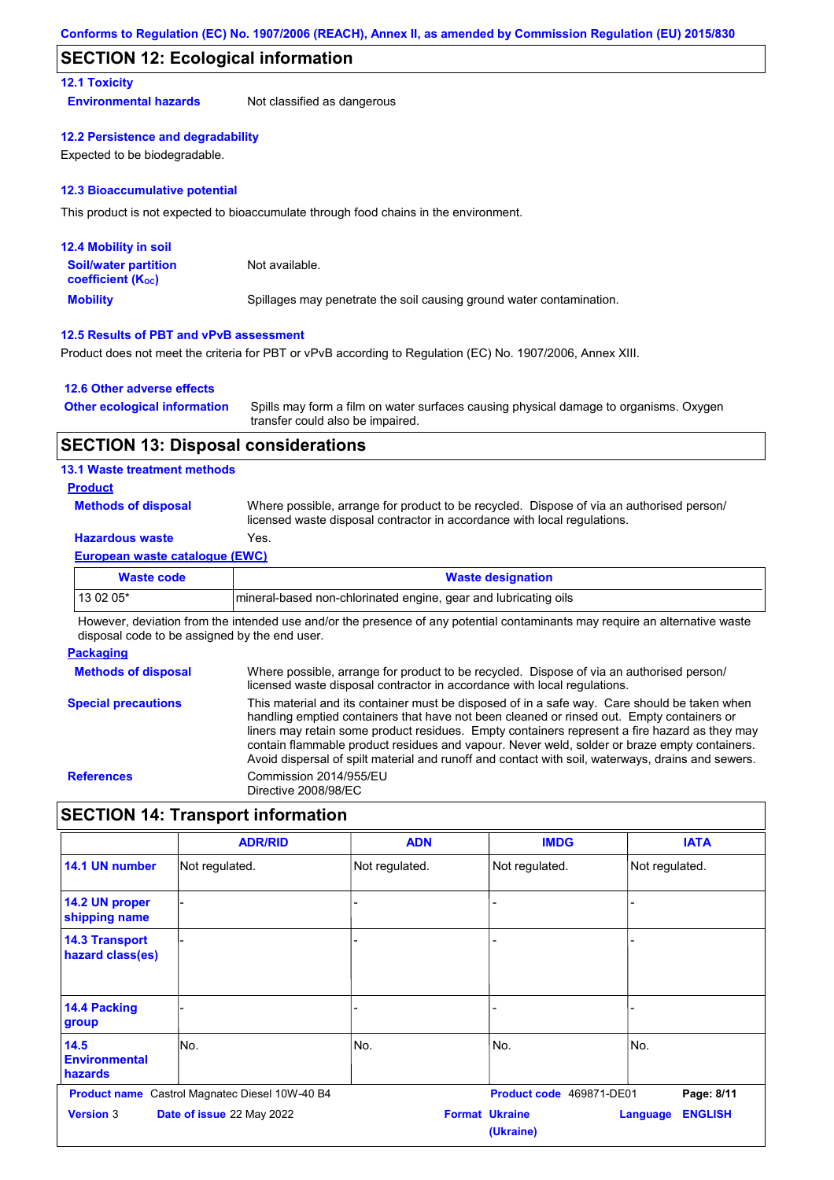# **SECTION 12: Ecological information**

## **12.1 Toxicity**

**Environmental hazards** Not classified as dangerous

## **12.2 Persistence and degradability**

Expected to be biodegradable.

### **12.3 Bioaccumulative potential**

This product is not expected to bioaccumulate through food chains in the environment.

| <b>12.4 Mobility in soil</b>                                  |                                                                      |
|---------------------------------------------------------------|----------------------------------------------------------------------|
| <b>Soil/water partition</b><br>coefficient (K <sub>oc</sub> ) | Not available.                                                       |
| <b>Mobility</b>                                               | Spillages may penetrate the soil causing ground water contamination. |

## **12.5 Results of PBT and vPvB assessment**

Product does not meet the criteria for PBT or vPvB according to Regulation (EC) No. 1907/2006, Annex XIII.

## **12.6 Other adverse effects**

| <b>Other ecological information</b> | Spills may form a film on water surfaces causing physical damage to organisms. Oxygen |
|-------------------------------------|---------------------------------------------------------------------------------------|
|                                     | transfer could also be impaired.                                                      |

# **SECTION 13: Disposal considerations**

## **13.1 Waste treatment methods**

### **Product**

**Methods of disposal**

Where possible, arrange for product to be recycled. Dispose of via an authorised person/ licensed waste disposal contractor in accordance with local regulations.

# **Hazardous waste** Yes.

### **European waste catalogue (EWC)**

| Waste code | <b>Waste designation</b>                                         |
|------------|------------------------------------------------------------------|
| 13 02 05*  | Imineral-based non-chlorinated engine, gear and lubricating oils |

However, deviation from the intended use and/or the presence of any potential contaminants may require an alternative waste disposal code to be assigned by the end user.

## **Packaging**

| <b>Methods of disposal</b> | Where possible, arrange for product to be recycled. Dispose of via an authorised person/<br>licensed waste disposal contractor in accordance with local regulations.                                                                                                                                                                                                                                                                                                                            |
|----------------------------|-------------------------------------------------------------------------------------------------------------------------------------------------------------------------------------------------------------------------------------------------------------------------------------------------------------------------------------------------------------------------------------------------------------------------------------------------------------------------------------------------|
| <b>Special precautions</b> | This material and its container must be disposed of in a safe way. Care should be taken when<br>handling emptied containers that have not been cleaned or rinsed out. Empty containers or<br>liners may retain some product residues. Empty containers represent a fire hazard as they may<br>contain flammable product residues and vapour. Never weld, solder or braze empty containers.<br>Avoid dispersal of spilt material and runoff and contact with soil, waterways, drains and sewers. |
| <b>References</b>          | Commission 2014/955/EU<br>Directive 2008/98/EC                                                                                                                                                                                                                                                                                                                                                                                                                                                  |

# **SECTION 14: Transport information**

|                                           | <b>ADR/RID</b>                                 | <b>ADN</b>     | <b>IMDG</b>                        | <b>IATA</b>                |
|-------------------------------------------|------------------------------------------------|----------------|------------------------------------|----------------------------|
| 14.1 UN number                            | Not regulated.                                 | Not regulated. | Not regulated.                     | Not regulated.             |
| 14.2 UN proper<br>shipping name           |                                                |                |                                    |                            |
| <b>14.3 Transport</b><br>hazard class(es) |                                                |                |                                    |                            |
| 14.4 Packing<br>group                     |                                                |                |                                    |                            |
| 14.5<br><b>Environmental</b><br>hazards   | No.                                            | No.            | No.                                | No.                        |
|                                           | Product name Castrol Magnatec Diesel 10W-40 B4 |                | Product code 469871-DE01           | Page: 8/11                 |
| <b>Version 3</b>                          | Date of issue 22 May 2022                      |                | <b>Format Ukraine</b><br>(Ukraine) | <b>ENGLISH</b><br>Language |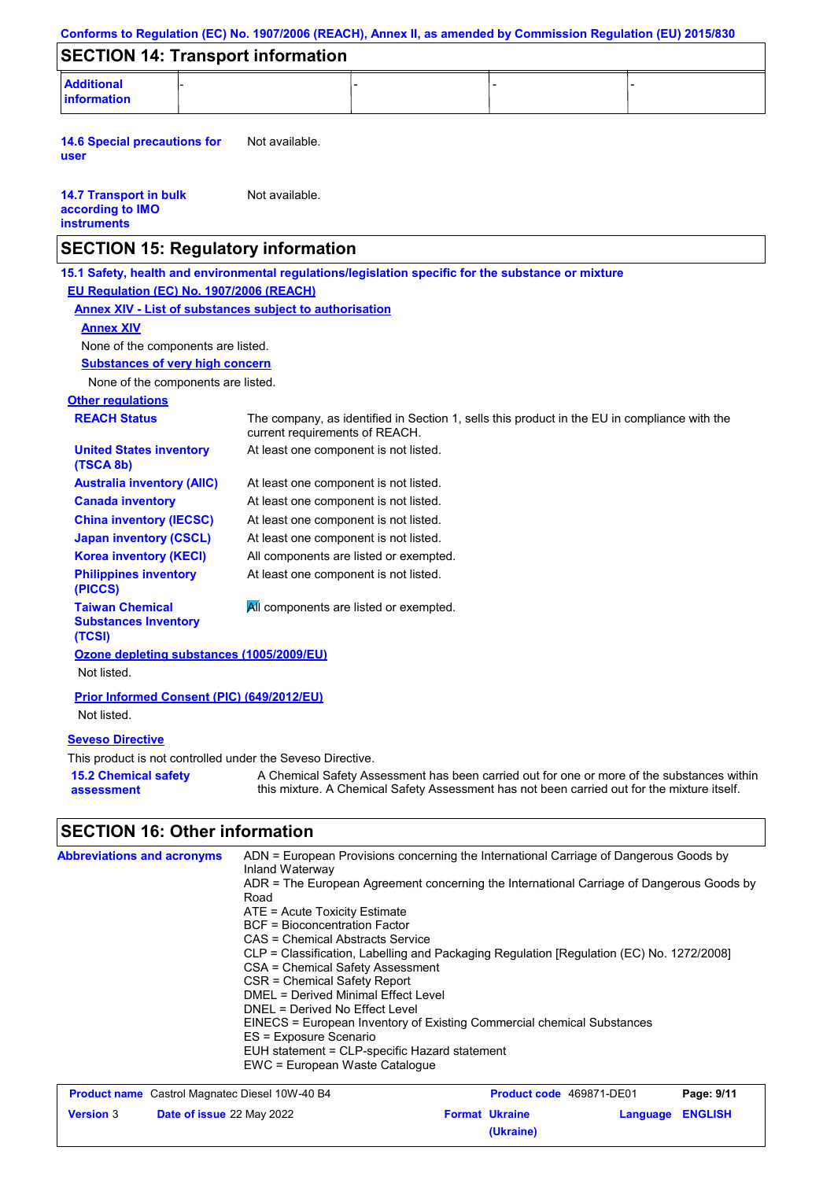|                                                                         | Conforms to Regulation (EC) No. 1907/2006 (REACH), Annex II, as amended by Commission Regulation (EU) 2015/830                                                                                                                                                                                                                                                                                                                                                                                                                                                                                                                                                                       |
|-------------------------------------------------------------------------|--------------------------------------------------------------------------------------------------------------------------------------------------------------------------------------------------------------------------------------------------------------------------------------------------------------------------------------------------------------------------------------------------------------------------------------------------------------------------------------------------------------------------------------------------------------------------------------------------------------------------------------------------------------------------------------|
| <b>SECTION 14: Transport information</b>                                |                                                                                                                                                                                                                                                                                                                                                                                                                                                                                                                                                                                                                                                                                      |
| <b>Additional</b><br>information                                        |                                                                                                                                                                                                                                                                                                                                                                                                                                                                                                                                                                                                                                                                                      |
| <b>14.6 Special precautions for</b><br>user                             | Not available.                                                                                                                                                                                                                                                                                                                                                                                                                                                                                                                                                                                                                                                                       |
| <b>14.7 Transport in bulk</b><br>according to IMO<br><b>instruments</b> | Not available.                                                                                                                                                                                                                                                                                                                                                                                                                                                                                                                                                                                                                                                                       |
| <b>SECTION 15: Regulatory information</b>                               |                                                                                                                                                                                                                                                                                                                                                                                                                                                                                                                                                                                                                                                                                      |
|                                                                         | 15.1 Safety, health and environmental regulations/legislation specific for the substance or mixture                                                                                                                                                                                                                                                                                                                                                                                                                                                                                                                                                                                  |
| EU Regulation (EC) No. 1907/2006 (REACH)                                |                                                                                                                                                                                                                                                                                                                                                                                                                                                                                                                                                                                                                                                                                      |
|                                                                         | <b>Annex XIV - List of substances subject to authorisation</b>                                                                                                                                                                                                                                                                                                                                                                                                                                                                                                                                                                                                                       |
| <b>Annex XIV</b>                                                        |                                                                                                                                                                                                                                                                                                                                                                                                                                                                                                                                                                                                                                                                                      |
| None of the components are listed.                                      |                                                                                                                                                                                                                                                                                                                                                                                                                                                                                                                                                                                                                                                                                      |
| <b>Substances of very high concern</b>                                  |                                                                                                                                                                                                                                                                                                                                                                                                                                                                                                                                                                                                                                                                                      |
| None of the components are listed.                                      |                                                                                                                                                                                                                                                                                                                                                                                                                                                                                                                                                                                                                                                                                      |
| <b>Other regulations</b>                                                |                                                                                                                                                                                                                                                                                                                                                                                                                                                                                                                                                                                                                                                                                      |
| <b>REACH Status</b>                                                     | The company, as identified in Section 1, sells this product in the EU in compliance with the<br>current requirements of REACH.                                                                                                                                                                                                                                                                                                                                                                                                                                                                                                                                                       |
| <b>United States inventory</b><br>(TSCA 8b)                             | At least one component is not listed.                                                                                                                                                                                                                                                                                                                                                                                                                                                                                                                                                                                                                                                |
| <b>Australia inventory (AIIC)</b>                                       | At least one component is not listed.                                                                                                                                                                                                                                                                                                                                                                                                                                                                                                                                                                                                                                                |
| <b>Canada inventory</b>                                                 | At least one component is not listed.                                                                                                                                                                                                                                                                                                                                                                                                                                                                                                                                                                                                                                                |
| <b>China inventory (IECSC)</b>                                          | At least one component is not listed.                                                                                                                                                                                                                                                                                                                                                                                                                                                                                                                                                                                                                                                |
| <b>Japan inventory (CSCL)</b>                                           | At least one component is not listed.                                                                                                                                                                                                                                                                                                                                                                                                                                                                                                                                                                                                                                                |
| <b>Korea inventory (KECI)</b>                                           | All components are listed or exempted.                                                                                                                                                                                                                                                                                                                                                                                                                                                                                                                                                                                                                                               |
| <b>Philippines inventory</b><br>(PICCS)                                 | At least one component is not listed.                                                                                                                                                                                                                                                                                                                                                                                                                                                                                                                                                                                                                                                |
| <b>Taiwan Chemical</b><br><b>Substances Inventory</b><br>(TCSI)         | All components are listed or exempted.                                                                                                                                                                                                                                                                                                                                                                                                                                                                                                                                                                                                                                               |
| Ozone depleting substances (1005/2009/EU)<br>Not listed.                |                                                                                                                                                                                                                                                                                                                                                                                                                                                                                                                                                                                                                                                                                      |
| Prior Informed Consent (PIC) (649/2012/EU)<br>Not listed.               |                                                                                                                                                                                                                                                                                                                                                                                                                                                                                                                                                                                                                                                                                      |
| <b>Seveso Directive</b>                                                 |                                                                                                                                                                                                                                                                                                                                                                                                                                                                                                                                                                                                                                                                                      |
| This product is not controlled under the Seveso Directive.              |                                                                                                                                                                                                                                                                                                                                                                                                                                                                                                                                                                                                                                                                                      |
| <b>15.2 Chemical safety</b><br>assessment                               | A Chemical Safety Assessment has been carried out for one or more of the substances within<br>this mixture. A Chemical Safety Assessment has not been carried out for the mixture itself.                                                                                                                                                                                                                                                                                                                                                                                                                                                                                            |
| <b>SECTION 16: Other information</b>                                    |                                                                                                                                                                                                                                                                                                                                                                                                                                                                                                                                                                                                                                                                                      |
| <b>Abbreviations and acronyms</b>                                       | ADN = European Provisions concerning the International Carriage of Dangerous Goods by<br>Inland Waterway<br>ADR = The European Agreement concerning the International Carriage of Dangerous Goods by<br>Road<br>ATE = Acute Toxicity Estimate<br><b>BCF</b> = Bioconcentration Factor<br><b>CAS = Chemical Abstracts Service</b><br>CLP = Classification, Labelling and Packaging Regulation [Regulation (EC) No. 1272/2008]<br>CSA = Chemical Safety Assessment<br>CSR = Chemical Safety Report<br><b>DMEL = Derived Minimal Effect Level</b><br>DNEL = Derived No Effect Level<br>EINECS = European Inventory of Existing Commercial chemical Substances<br>ES = Exposure Scenario |
|                                                                         | EUH statement = CLP-specific Hazard statement<br>EWC = European Waste Catalogue                                                                                                                                                                                                                                                                                                                                                                                                                                                                                                                                                                                                      |

**Product name** Castrol Magnatec Diesel 10W-40 B4 **Product Code 469871-DE01 Page: 9/11** 

**Date of issue** 22 May 2022 **Format Ukraine Language ENGLISH**

**(Ukraine)**

**Version** 3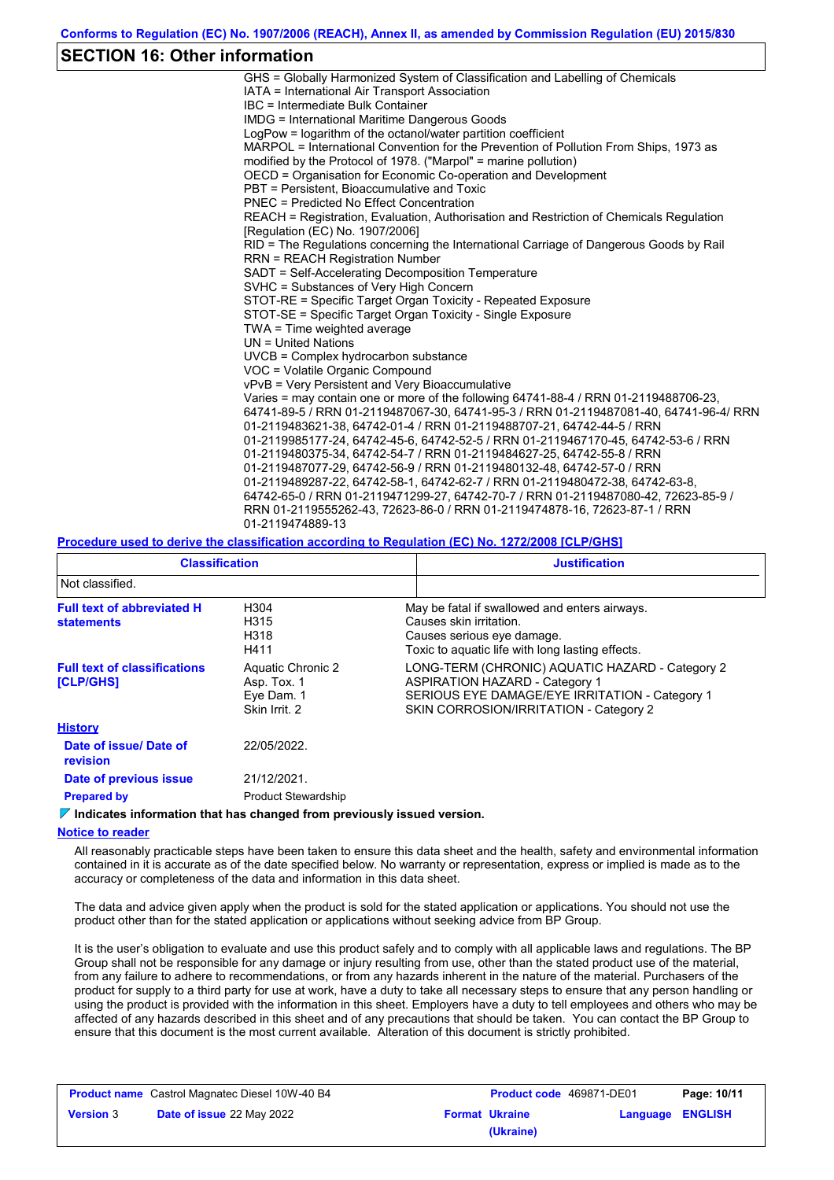# **SECTION 16: Other information**

| GHS = Globally Harmonized System of Classification and Labelling of Chemicals           |
|-----------------------------------------------------------------------------------------|
| IATA = International Air Transport Association                                          |
| IBC = Intermediate Bulk Container                                                       |
| <b>IMDG</b> = International Maritime Dangerous Goods                                    |
| LogPow = logarithm of the octanol/water partition coefficient                           |
| MARPOL = International Convention for the Prevention of Pollution From Ships, 1973 as   |
| modified by the Protocol of 1978. ("Marpol" = marine pollution)                         |
| OECD = Organisation for Economic Co-operation and Development                           |
| PBT = Persistent, Bioaccumulative and Toxic                                             |
| PNFC = Predicted No Fffect Concentration                                                |
| REACH = Registration, Evaluation, Authorisation and Restriction of Chemicals Regulation |
| [Regulation (EC) No. 1907/2006]                                                         |
| RID = The Regulations concerning the International Carriage of Dangerous Goods by Rail  |
| <b>RRN = REACH Registration Number</b>                                                  |
| SADT = Self-Accelerating Decomposition Temperature                                      |
| SVHC = Substances of Very High Concern                                                  |
| STOT-RE = Specific Target Organ Toxicity - Repeated Exposure                            |
| STOT-SE = Specific Target Organ Toxicity - Single Exposure                              |
| TWA = Time weighted average                                                             |
| $UN = United Nations$                                                                   |
| UVCB = Complex hydrocarbon substance                                                    |
| VOC = Volatile Organic Compound                                                         |
| vPvB = Very Persistent and Very Bioaccumulative                                         |
| Varies = may contain one or more of the following 64741-88-4 / RRN 01-2119488706-23,    |
| 64741-89-5 / RRN 01-2119487067-30, 64741-95-3 / RRN 01-2119487081-40, 64741-96-4/ RRN   |
| 01-2119483621-38, 64742-01-4 / RRN 01-2119488707-21, 64742-44-5 / RRN                   |
| 01-2119985177-24, 64742-45-6, 64742-52-5 / RRN 01-2119467170-45, 64742-53-6 / RRN       |
| 01-2119480375-34, 64742-54-7 / RRN 01-2119484627-25, 64742-55-8 / RRN                   |
| 01-2119487077-29, 64742-56-9 / RRN 01-2119480132-48, 64742-57-0 / RRN                   |
| 01-2119489287-22, 64742-58-1, 64742-62-7 / RRN 01-2119480472-38, 64742-63-8,            |
| 64742-65-0 / RRN 01-2119471299-27, 64742-70-7 / RRN 01-2119487080-42, 72623-85-9 /      |
| RRN 01-2119555262-43, 72623-86-0 / RRN 01-2119474878-16, 72623-87-1 / RRN               |
| 01-2119474889-13                                                                        |
|                                                                                         |

### **Procedure used to derive the classification according to Regulation (EC) No. 1272/2008 [CLP/GHS]**

| <b>Classification</b>                                   |                                                                 | <b>Justification</b>                                                                                                                                                                 |  |
|---------------------------------------------------------|-----------------------------------------------------------------|--------------------------------------------------------------------------------------------------------------------------------------------------------------------------------------|--|
| Not classified.                                         |                                                                 |                                                                                                                                                                                      |  |
| <b>Full text of abbreviated H</b><br><b>statements</b>  | H304<br>H315<br>H318<br>H411                                    | May be fatal if swallowed and enters airways.<br>Causes skin irritation.<br>Causes serious eye damage.<br>Toxic to aquatic life with long lasting effects.                           |  |
| <b>Full text of classifications</b><br><b>[CLP/GHS]</b> | Aquatic Chronic 2<br>Asp. Tox. 1<br>Eye Dam. 1<br>Skin Irrit. 2 | LONG-TERM (CHRONIC) AQUATIC HAZARD - Category 2<br><b>ASPIRATION HAZARD - Category 1</b><br>SERIOUS EYE DAMAGE/EYE IRRITATION - Category 1<br>SKIN CORROSION/IRRITATION - Category 2 |  |
| <b>History</b>                                          |                                                                 |                                                                                                                                                                                      |  |
| Date of issue/ Date of<br>revision                      | 22/05/2022.                                                     |                                                                                                                                                                                      |  |
| Date of previous issue                                  | 21/12/2021.                                                     |                                                                                                                                                                                      |  |
| <b>Prepared by</b>                                      | <b>Product Stewardship</b>                                      |                                                                                                                                                                                      |  |

### **Indicates information that has changed from previously issued version.**

### **Notice to reader**

All reasonably practicable steps have been taken to ensure this data sheet and the health, safety and environmental information contained in it is accurate as of the date specified below. No warranty or representation, express or implied is made as to the accuracy or completeness of the data and information in this data sheet.

The data and advice given apply when the product is sold for the stated application or applications. You should not use the product other than for the stated application or applications without seeking advice from BP Group.

It is the user's obligation to evaluate and use this product safely and to comply with all applicable laws and regulations. The BP Group shall not be responsible for any damage or injury resulting from use, other than the stated product use of the material, from any failure to adhere to recommendations, or from any hazards inherent in the nature of the material. Purchasers of the product for supply to a third party for use at work, have a duty to take all necessary steps to ensure that any person handling or using the product is provided with the information in this sheet. Employers have a duty to tell employees and others who may be affected of any hazards described in this sheet and of any precautions that should be taken. You can contact the BP Group to ensure that this document is the most current available. Alteration of this document is strictly prohibited.

| <b>Product name</b> Castrol Magnatec Diesel 10W-40 B4 |                                  | <b>Product code</b> 469871-DE01 |                       | Page: 10/11             |  |
|-------------------------------------------------------|----------------------------------|---------------------------------|-----------------------|-------------------------|--|
| <b>Version 3</b>                                      | <b>Date of issue 22 May 2022</b> |                                 | <b>Format Ukraine</b> | <b>Language ENGLISH</b> |  |
|                                                       |                                  |                                 | (Ukraine)             |                         |  |